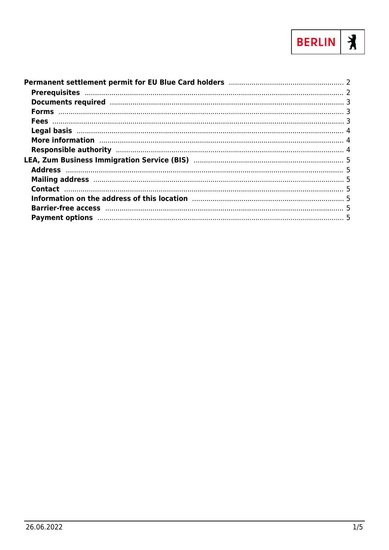

| Documents required manufactured and the contract of the contract of the contract of the contract of the contract of the contract of the contract of the contract of the contract of the contract of the contract of the contra |  |
|--------------------------------------------------------------------------------------------------------------------------------------------------------------------------------------------------------------------------------|--|
|                                                                                                                                                                                                                                |  |
|                                                                                                                                                                                                                                |  |
|                                                                                                                                                                                                                                |  |
| More information manufactured and a series of the contractor of the contractor of the contractor of the contractor of the contractor of the contractor of the contractor of the contractor of the contractor of the contractor |  |
|                                                                                                                                                                                                                                |  |
|                                                                                                                                                                                                                                |  |
|                                                                                                                                                                                                                                |  |
|                                                                                                                                                                                                                                |  |
|                                                                                                                                                                                                                                |  |
|                                                                                                                                                                                                                                |  |
|                                                                                                                                                                                                                                |  |
|                                                                                                                                                                                                                                |  |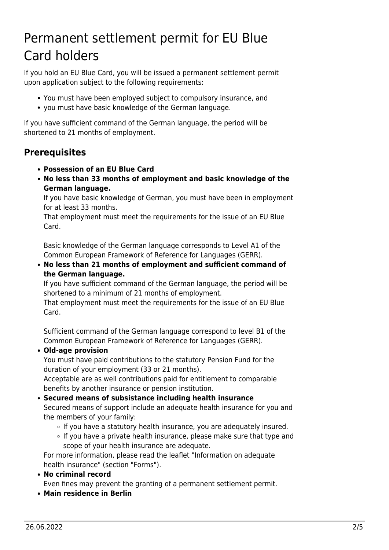# <span id="page-1-0"></span>Permanent settlement permit for EU Blue Card holders

If you hold an EU Blue Card, you will be issued a permanent settlement permit upon application subject to the following requirements:

- You must have been employed subject to compulsory insurance, and
- you must have basic knowledge of the German language.

If you have sufficient command of the German language, the period will be shortened to 21 months of employment.

# <span id="page-1-1"></span>**Prerequisites**

- **Possession of an EU Blue Card**
- **No less than 33 months of employment and basic knowledge of the German language.**

If you have basic knowledge of German, you must have been in employment for at least 33 months.

That employment must meet the requirements for the issue of an EU Blue Card.

Basic knowledge of the German language corresponds to Level A1 of the Common European Framework of Reference for Languages (GERR).

**No less than 21 months of employment and sufficient command of the German language.**

If you have sufficient command of the German language, the period will be shortened to a minimum of 21 months of employment.

That employment must meet the requirements for the issue of an EU Blue Card.

Sufficient command of the German language correspond to level B1 of the Common European Framework of Reference for Languages (GERR).

### **Old-age provision**

You must have paid contributions to the statutory Pension Fund for the duration of your employment (33 or 21 months).

Acceptable are as well contributions paid for entitlement to comparable benefits by another insurance or pension institution.

### **Secured means of subsistance including health insurance**

Secured means of support include an adequate health insurance for you and the members of your family:

- If you have a statutory health insurance, you are adequately insured.
- $\circ$  If you have a private health insurance, please make sure that type and scope of your health insurance are adequate.

For more information, please read the leaflet "Information on adequate health insurance" (section "Forms").

**No criminal record**

Even fines may prevent the granting of a permanent settlement permit.

**Main residence in Berlin**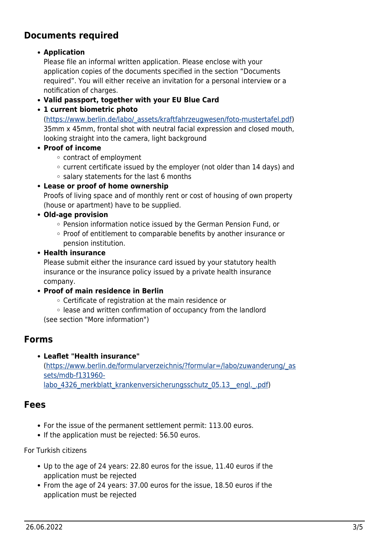## <span id="page-2-0"></span>**Documents required**

### **Application**

Please file an informal written application. Please enclose with your application copies of the documents specified in the section "Documents required". You will either receive an invitation for a personal interview or a notification of charges.

- **Valid passport, together with your EU Blue Card**
- **1 current biometric photo**

([https://www.berlin.de/labo/\\_assets/kraftfahrzeugwesen/foto-mustertafel.pdf\)](https://www.berlin.de/labo/_assets/kraftfahrzeugwesen/foto-mustertafel.pdf) 35mm x 45mm, frontal shot with neutral facial expression and closed mouth, looking straight into the camera, light background

- **Proof of income**
	- contract of employment
	- $\circ$  current certificate issued by the employer (not older than 14 days) and
	- $\circ$  salary statements for the last 6 months
- **Lease or proof of home ownership**

Proofs of living space and of monthly rent or cost of housing of own property (house or apartment) have to be supplied.

- **Old-age provision**
	- Pension information notice issued by the German Pension Fund, or
	- Proof of entitlement to comparable benefits by another insurance or pension institution.
- **Health insurance**

Please submit either the insurance card issued by your statutory health insurance or the insurance policy issued by a private health insurance company.

- **Proof of main residence in Berlin**
	- Certificate of registration at the main residence or
	- lease and written confirmation of occupancy from the landlord

(see section "More information")

### <span id="page-2-1"></span>**Forms**

**Leaflet "Health insurance"**

([https://www.berlin.de/formularverzeichnis/?formular=/labo/zuwanderung/\\_as](https://www.berlin.de/formularverzeichnis/?formular=/labo/zuwanderung/_assets/mdb-f131960-labo_4326_merkblatt_krankenversicherungsschutz_05.13__engl._.pdf) [sets/mdb-f131960](https://www.berlin.de/formularverzeichnis/?formular=/labo/zuwanderung/_assets/mdb-f131960-labo_4326_merkblatt_krankenversicherungsschutz_05.13__engl._.pdf) labo 4326 merkblatt krankenversicherungsschutz 05.13\_engl. .pdf)

### <span id="page-2-2"></span>**Fees**

- For the issue of the permanent settlement permit: 113.00 euros.
- If the application must be rejected: 56.50 euros.

### For Turkish citizens

- Up to the age of 24 years: 22.80 euros for the issue, 11.40 euros if the application must be rejected
- From the age of 24 years: 37.00 euros for the issue, 18.50 euros if the application must be rejected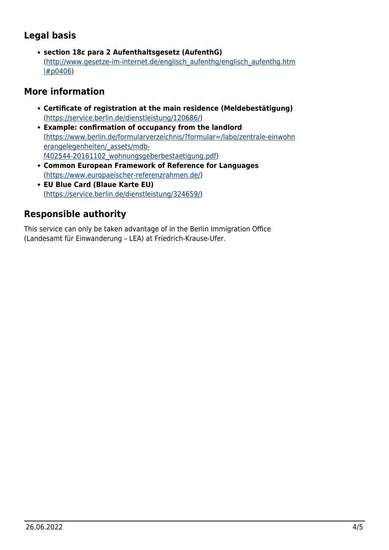# <span id="page-3-0"></span>**Legal basis**

**section 18c para 2 Aufenthaltsgesetz (AufenthG)** ([http://www.gesetze-im-internet.de/englisch\\_aufenthg/englisch\\_aufenthg.htm](http://www.gesetze-im-internet.de/englisch_aufenthg/englisch_aufenthg.html#p0406) [l#p0406](http://www.gesetze-im-internet.de/englisch_aufenthg/englisch_aufenthg.html#p0406))

# <span id="page-3-1"></span>**More information**

- **Certificate of registration at the main residence (Meldebestätigung)** (<https://service.berlin.de/dienstleistung/120686/>)
- **Example: confirmation of occupancy from the landlord** ([https://www.berlin.de/formularverzeichnis/?formular=/labo/zentrale-einwohn](https://www.berlin.de/formularverzeichnis/?formular=/labo/zentrale-einwohnerangelegenheiten/_assets/mdb-f402544-20161102_wohnungsgeberbestaetigung.pdf) [erangelegenheiten/\\_assets/mdb](https://www.berlin.de/formularverzeichnis/?formular=/labo/zentrale-einwohnerangelegenheiten/_assets/mdb-f402544-20161102_wohnungsgeberbestaetigung.pdf)[f402544-20161102\\_wohnungsgeberbestaetigung.pdf\)](https://www.berlin.de/formularverzeichnis/?formular=/labo/zentrale-einwohnerangelegenheiten/_assets/mdb-f402544-20161102_wohnungsgeberbestaetigung.pdf)
- **Common European Framework of Reference for Languages** ([https://www.europaeischer-referenzrahmen.de/\)](https://www.europaeischer-referenzrahmen.de/)
- **EU Blue Card (Blaue Karte EU)** (<https://service.berlin.de/dienstleistung/324659/>)

# <span id="page-3-2"></span>**Responsible authority**

This service can only be taken advantage of in the Berlin Immigration Office (Landesamt für Einwanderung – LEA) at Friedrich-Krause-Ufer.